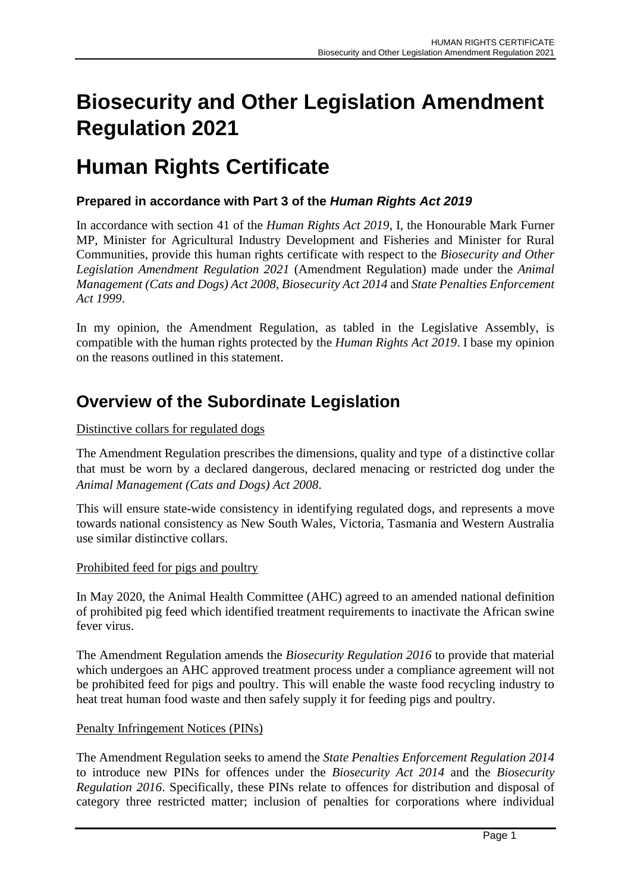# **Biosecurity and Other Legislation Amendment Regulation 2021**

## **Human Rights Certificate**

#### **Prepared in accordance with Part 3 of the** *Human Rights Act 2019*

In accordance with section 41 of the *Human Rights Act 2019*, I, the Honourable Mark Furner MP, Minister for Agricultural Industry Development and Fisheries and Minister for Rural Communities, provide this human rights certificate with respect to the *Biosecurity and Other Legislation Amendment Regulation 2021* (Amendment Regulation) made under the *Animal Management (Cats and Dogs) Act 2008*, *Biosecurity Act 2014* and *State Penalties Enforcement Act 1999*.

In my opinion, the Amendment Regulation, as tabled in the Legislative Assembly, is compatible with the human rights protected by the *Human Rights Act 2019*. I base my opinion on the reasons outlined in this statement.

### **Overview of the Subordinate Legislation**

#### Distinctive collars for regulated dogs

The Amendment Regulation prescribes the dimensions, quality and type of a distinctive collar that must be worn by a declared dangerous, declared menacing or restricted dog under the *Animal Management (Cats and Dogs) Act 2008*.

This will ensure state-wide consistency in identifying regulated dogs, and represents a move towards national consistency as New South Wales, Victoria, Tasmania and Western Australia use similar distinctive collars.

#### Prohibited feed for pigs and poultry

In May 2020, the Animal Health Committee (AHC) agreed to an amended national definition of prohibited pig feed which identified treatment requirements to inactivate the African swine fever virus.

The Amendment Regulation amends the *Biosecurity Regulation 2016* to provide that material which undergoes an AHC approved treatment process under a compliance agreement will not be prohibited feed for pigs and poultry. This will enable the waste food recycling industry to heat treat human food waste and then safely supply it for feeding pigs and poultry.

#### Penalty Infringement Notices (PINs)

The Amendment Regulation seeks to amend the *State Penalties Enforcement Regulation 2014* to introduce new PINs for offences under the *Biosecurity Act 2014* and the *Biosecurity Regulation 2016*. Specifically, these PINs relate to offences for distribution and disposal of category three restricted matter; inclusion of penalties for corporations where individual